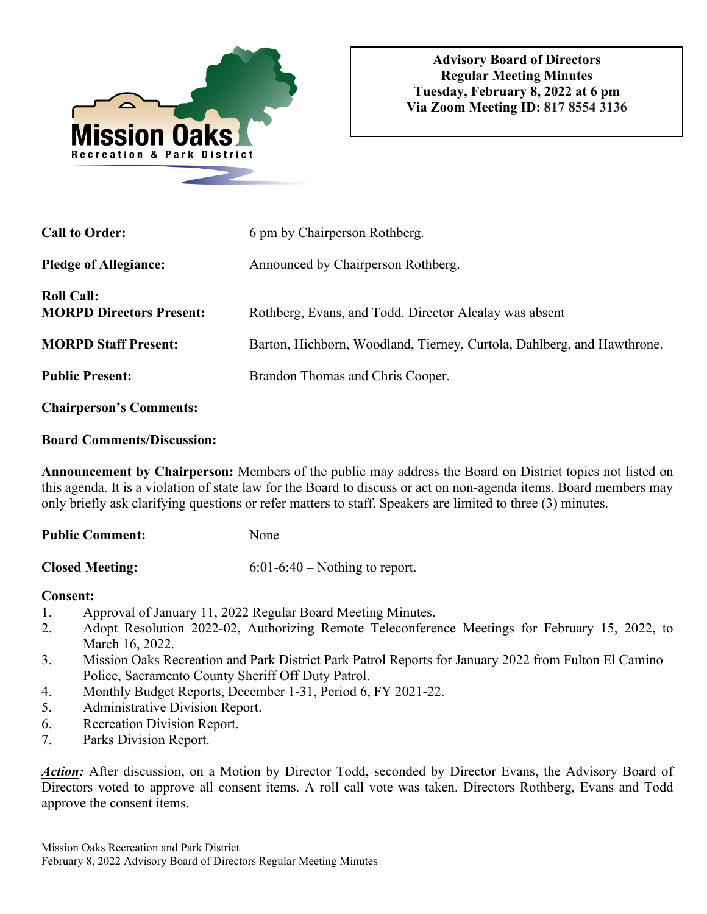

| <b>Call to Order:</b>                                | 6 pm by Chairperson Rothberg.                                          |
|------------------------------------------------------|------------------------------------------------------------------------|
| <b>Pledge of Allegiance:</b>                         | Announced by Chairperson Rothberg.                                     |
| <b>Roll Call:</b><br><b>MORPD Directors Present:</b> | Rothberg, Evans, and Todd. Director Alcalay was absent                 |
| <b>MORPD Staff Present:</b>                          | Barton, Hichborn, Woodland, Tierney, Curtola, Dahlberg, and Hawthrone. |
| <b>Public Present:</b>                               | Brandon Thomas and Chris Cooper.                                       |
| <b>Chairperson's Comments:</b>                       |                                                                        |

#### **Board Comments/Discussion:**

**Announcement by Chairperson:** Members of the public may address the Board on District topics not listed on this agenda. It is a violation of state law for the Board to discuss or act on non-agenda items. Board members may only briefly ask clarifying questions or refer matters to staff. Speakers are limited to three (3) minutes.

| <b>Public Comment:</b> | None |
|------------------------|------|
|                        |      |

**Closed Meeting:** 6:01-6:40 – Nothing to report.

# **Consent:**

- 1. Approval of January 11, 2022 Regular Board Meeting Minutes.
- 2. Adopt Resolution 2022-02, Authorizing Remote Teleconference Meetings for February 15, 2022, to March 16, 2022.
- 3. Mission Oaks Recreation and Park District Park Patrol Reports for January 2022 from Fulton El Camino Police, Sacramento County Sheriff Off Duty Patrol.
- 4. Monthly Budget Reports, December 1-31, Period 6, FY 2021-22.
- 5. Administrative Division Report.
- 6. Recreation Division Report.
- 7. Parks Division Report.

*Action:* After discussion, on a Motion by Director Todd, seconded by Director Evans, the Advisory Board of Directors voted to approve all consent items. A roll call vote was taken. Directors Rothberg, Evans and Todd approve the consent items.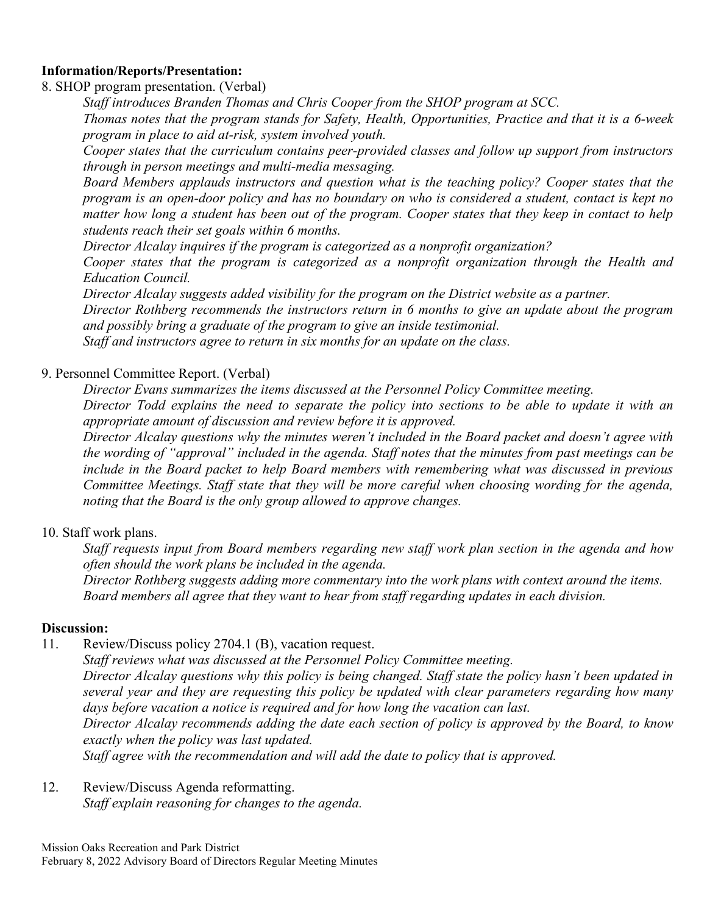### **Information/Reports/Presentation:**

8. SHOP program presentation. (Verbal)

*Staff introduces Branden Thomas and Chris Cooper from the SHOP program at SCC.* 

*Thomas notes that the program stands for Safety, Health, Opportunities, Practice and that it is a 6-week program in place to aid at-risk, system involved youth.* 

*Cooper states that the curriculum contains peer-provided classes and follow up support from instructors through in person meetings and multi-media messaging.* 

*Board Members applauds instructors and question what is the teaching policy? Cooper states that the program is an open-door policy and has no boundary on who is considered a student, contact is kept no matter how long a student has been out of the program. Cooper states that they keep in contact to help students reach their set goals within 6 months.* 

*Director Alcalay inquires if the program is categorized as a nonprofit organization?* 

*Cooper states that the program is categorized as a nonprofit organization through the Health and Education Council.* 

*Director Alcalay suggests added visibility for the program on the District website as a partner.* 

*Director Rothberg recommends the instructors return in 6 months to give an update about the program and possibly bring a graduate of the program to give an inside testimonial.* 

*Staff and instructors agree to return in six months for an update on the class.* 

### 9. Personnel Committee Report. (Verbal)

*Director Evans summarizes the items discussed at the Personnel Policy Committee meeting.* 

*Director Todd explains the need to separate the policy into sections to be able to update it with an appropriate amount of discussion and review before it is approved.* 

*Director Alcalay questions why the minutes weren't included in the Board packet and doesn't agree with the wording of "approval" included in the agenda. Staff notes that the minutes from past meetings can be include in the Board packet to help Board members with remembering what was discussed in previous Committee Meetings. Staff state that they will be more careful when choosing wording for the agenda, noting that the Board is the only group allowed to approve changes.* 

# 10. Staff work plans.

 *Staff requests input from Board members regarding new staff work plan section in the agenda and how often should the work plans be included in the agenda.* 

 *Director Rothberg suggests adding more commentary into the work plans with context around the items. Board members all agree that they want to hear from staff regarding updates in each division.* 

# **Discussion:**

11. Review/Discuss policy 2704.1 (B), vacation request.

*Staff reviews what was discussed at the Personnel Policy Committee meeting. Director Alcalay questions why this policy is being changed. Staff state the policy hasn't been updated in several year and they are requesting this policy be updated with clear parameters regarding how many days before vacation a notice is required and for how long the vacation can last.* 

*Director Alcalay recommends adding the date each section of policy is approved by the Board, to know exactly when the policy was last updated.* 

*Staff agree with the recommendation and will add the date to policy that is approved.* 

### 12. Review/Discuss Agenda reformatting. *Staff explain reasoning for changes to the agenda.*